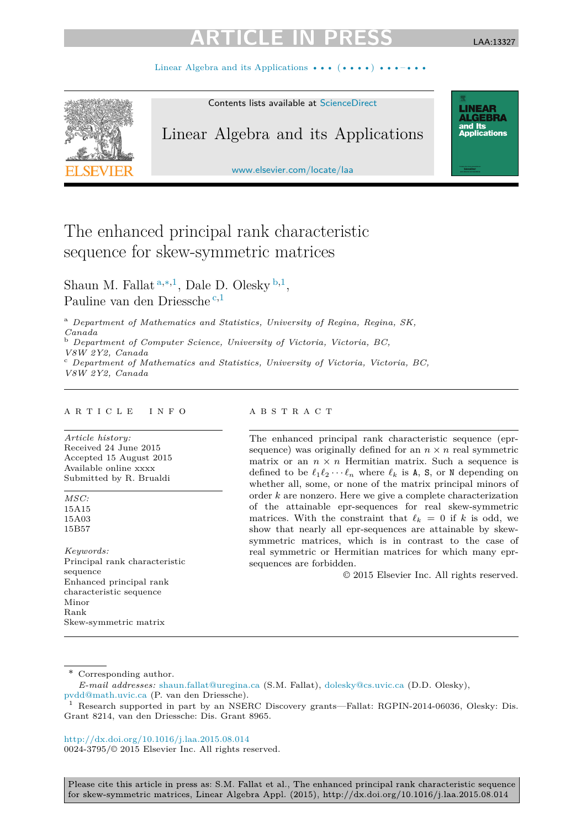# GIF II

LAA:13327

**LINEAR<br>ALGEBRA** and Its ana<br>Applications

Linear Algebra and its Applications  $\cdots$  ( $\cdots$ )



Contents lists available at [ScienceDirect](http://www.ScienceDirect.com/)

## Linear Algebra and its Applications

[www.elsevier.com/locate/laa](http://www.elsevier.com/locate/laa)

## The enhanced principal rank characteristic sequence for skew-symmetric matrices

Shaun M. Fallat <sup>a</sup>*,*∗*,*<sup>1</sup>, Dale D. Olesky <sup>b</sup>*,*<sup>1</sup>, Pauline van den Driessche <sup>c</sup>*,*<sup>1</sup>

<sup>a</sup> *Department of Mathematics and Statistics, University of Regina, Regina, SK, Canada*

<sup>b</sup> *Department of Computer Science, University of Victoria, Victoria, BC,*

*V8W 2Y2, Canada* <sup>c</sup> *Department of Mathematics and Statistics, University of Victoria, Victoria, BC, V8W 2Y2, Canada*

#### A R T I C L E I N F O A B S T R A C T

*Article history:* Received 24 June 2015 Accepted 15 August 2015 Available online xxxx Submitted by R. Brualdi

*MSC:* 15A15 15A03 15B57

*Keywords:* Principal rank characteristic sequence Enhanced principal rank characteristic sequence Minor Rank Skew-symmetric matrix

The enhanced principal rank characteristic sequence (eprsequence) was originally defined for an  $n \times n$  real symmetric matrix or an  $n \times n$  Hermitian matrix. Such a sequence is defined to be  $\ell_1 \ell_2 \cdots \ell_n$  where  $\ell_k$  is **A**, **S**, or **N** depending on whether all, some, or none of the matrix principal minors of order *k* are nonzero. Here we give a complete characterization of the attainable epr-sequences for real skew-symmetric matrices. With the constraint that  $\ell_k = 0$  if *k* is odd, we show that nearly all epr-sequences are attainable by skewsymmetric matrices, which is in contrast to the case of real symmetric or Hermitian matrices for which many eprsequences are forbidden.

© 2015 Elsevier Inc. All rights reserved.

\* Corresponding author.

<http://dx.doi.org/10.1016/j.laa.2015.08.014> 0024-3795/© 2015 Elsevier Inc. All rights reserved.

*E-mail addresses:* [shaun.fallat@uregina.ca](mailto:shaun.fallat@uregina.ca) (S.M. Fallat), [dolesky@cs.uvic.ca](mailto:dolesky@cs.uvic.ca) (D.D. Olesky), [pvdd@math.uvic.ca](mailto:pvdd@math.uvic.ca) (P. van den Driessche).

<sup>1</sup> Research supported in part by an NSERC Discovery grants—Fallat: RGPIN-2014-06036, Olesky: Dis. Grant 8214, van den Driessche: Dis. Grant 8965.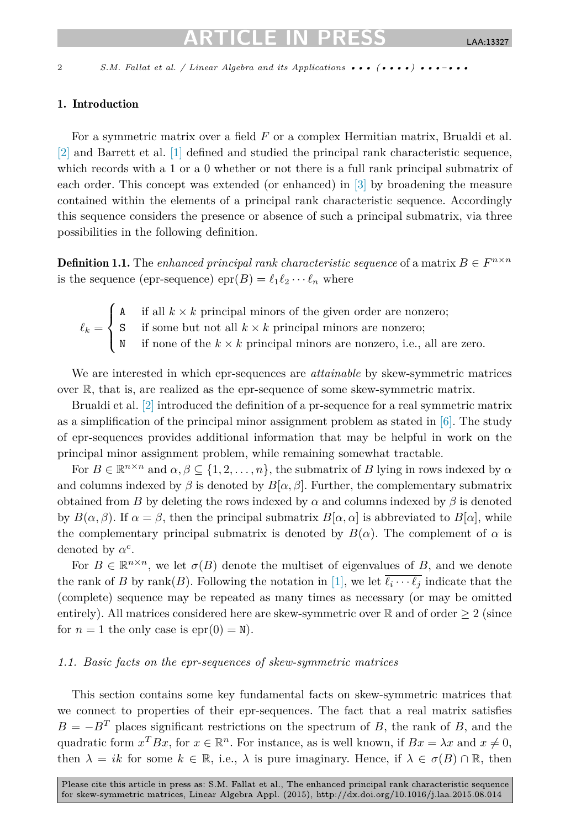## ICI E IN

<span id="page-1-0"></span>

2 *S.M. Fallat et al. / Linear Algebra and its Applications* ••• (•••••) •••–•••

#### 1. Introduction

For a symmetric matrix over a field *F* or a complex Hermitian matrix, Brualdi et al. [\[2\]](#page-11-0) and Barrett et al. [\[1\]](#page-11-0) defined and studied the principal rank characteristic sequence, which records with a 1 or a 0 whether or not there is a full rank principal submatrix of each order. This concept was extended (or enhanced) in [\[3\]](#page-11-0) by broadening the measure contained within the elements of a principal rank characteristic sequence. Accordingly this sequence considers the presence or absence of such a principal submatrix, via three possibilities in the following definition.

**Definition 1.1.** The *enhanced principal rank characteristic sequence of a matrix*  $B \in F^{n \times n}$ is the sequence (epr-sequence)  $\text{epr}(B) = \ell_1 \ell_2 \cdots \ell_n$  where

 $\ell_k =$  $\sqrt{ }$  $\int$  $\sqrt{2}$ A if all  $k \times k$  principal minors of the given order are nonzero; S if some but not all  $k \times k$  principal minors are nonzero; N if none of the  $k \times k$  principal minors are nonzero, i.e., all are zero.

We are interested in which epr-sequences are *attainable* by skew-symmetric matrices over R, that is, are realized as the epr-sequence of some skew-symmetric matrix.

Brualdi et al. [\[2\]](#page-11-0) introduced the definition of a pr-sequence for a real symmetric matrix as a simplification of the principal minor assignment problem as stated in  $[6]$ . The study of epr-sequences provides additional information that may be helpful in work on the principal minor assignment problem, while remaining somewhat tractable.

For  $B \in \mathbb{R}^{n \times n}$  and  $\alpha, \beta \subseteq \{1, 2, \ldots, n\}$ , the submatrix of *B* lying in rows indexed by  $\alpha$ and columns indexed by  $\beta$  is denoted by  $B[\alpha, \beta]$ . Further, the complementary submatrix obtained from *B* by deleting the rows indexed by  $\alpha$  and columns indexed by  $\beta$  is denoted by  $B(\alpha, \beta)$ . If  $\alpha = \beta$ , then the principal submatrix  $B[\alpha, \alpha]$  is abbreviated to  $B[\alpha]$ , while the complementary principal submatrix is denoted by  $B(\alpha)$ . The complement of  $\alpha$  is denoted by  $\alpha^c$ .

For  $B \in \mathbb{R}^{n \times n}$ , we let  $\sigma(B)$  denote the multiset of eigenvalues of *B*, and we denote the rank of *B* by rank(*B*). Following the notation in [\[1\],](#page-11-0) we let  $\ell_i \cdots \ell_j$  indicate that the (complete) sequence may be repeated as many times as necessary (or may be omitted entirely). All matrices considered here are skew-symmetric over  $\mathbb R$  and of order  $\geq 2$  (since for  $n = 1$  the only case is  $epr(0) = N$ .

### *1.1. Basic facts on the epr-sequences of skew-symmetric matrices*

This section contains some key fundamental facts on skew-symmetric matrices that we connect to properties of their epr-sequences. The fact that a real matrix satisfies  $B = -B<sup>T</sup>$  places significant restrictions on the spectrum of *B*, the rank of *B*, and the quadratic form  $x^T B x$ , for  $x \in \mathbb{R}^n$ . For instance, as is well known, if  $Bx = \lambda x$  and  $x \neq 0$ , then  $\lambda = ik$  for some  $k \in \mathbb{R}$ , i.e.,  $\lambda$  is pure imaginary. Hence, if  $\lambda \in \sigma(B) \cap \mathbb{R}$ , then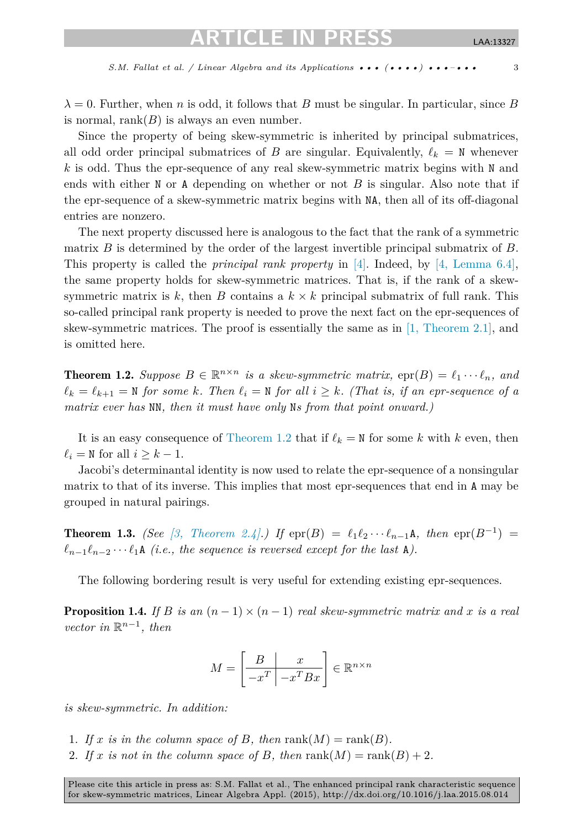<span id="page-2-0"></span> $\lambda = 0$ . Further, when *n* is odd, it follows that *B* must be singular. In particular, since *B* is normal,  $rank(B)$  is always an even number.

Since the property of being skew-symmetric is inherited by principal submatrices, all odd order principal submatrices of *B* are singular. Equivalently,  $\ell_k = N$  whenever *k* is odd. Thus the epr-sequence of any real skew-symmetric matrix begins with N and ends with either N or A depending on whether or not *B* is singular. Also note that if the epr-sequence of a skew-symmetric matrix begins with NA, then all of its off-diagonal entries are nonzero.

The next property discussed here is analogous to the fact that the rank of a symmetric matrix *B* is determined by the order of the largest invertible principal submatrix of *B*. This property is called the *principal rank property* in [\[4\].](#page-11-0) Indeed, by [4, [Lemma 6.4\],](#page-11-0) the same property holds for skew-symmetric matrices. That is, if the rank of a skewsymmetric matrix is  $k$ , then  $B$  contains a  $k \times k$  principal submatrix of full rank. This so-called principal rank property is needed to prove the next fact on the epr-sequences of skew-symmetric matrices. The proof is essentially the same as in [1, [Theorem 2.1\],](#page-11-0) and is omitted here.

**Theorem 1.2.** *Suppose*  $B \in \mathbb{R}^{n \times n}$  *is a skew-symmetric matrix,*  $\text{epr}(B) = \ell_1 \cdots \ell_n$ *, and*  $\ell_k = \ell_{k+1} = \mathbb{N}$  for some k. Then  $\ell_i = \mathbb{N}$  for all  $i \geq k$ . (That is, if an epr-sequence of a *matrix ever has* NN*, then it must have only* N*s from that point onward.)*

It is an easy consequence of Theorem 1.2 that if  $\ell_k = N$  for some *k* with *k* even, then  $\ell_i = N$  for all  $i \geq k - 1$ .

Jacobi's determinantal identity is now used to relate the epr-sequence of a nonsingular matrix to that of its inverse. This implies that most epr-sequences that end in A may be grouped in natural pairings.

**Theorem 1.3.** *(See* [3, *Theorem 2.4*].*) If*  $epr(B) = \ell_1 \ell_2 \cdots \ell_{n-1} A$ *, then*  $epr(B^{-1}) =$  $\ell_{n-1}\ell_{n-2}\cdots\ell_1$  A *(i.e., the sequence is reversed except for the last* A*)*.

The following bordering result is very useful for extending existing epr-sequences.

**Proposition 1.4.** *If B is an*  $(n-1) \times (n-1)$  *real skew-symmetric matrix and x is a real*  $vector in \mathbb{R}^{n-1}, then$ 

$$
M = \left[\begin{array}{c|c} B & x \\ \hline -x^T & -x^T Bx \end{array}\right] \in \mathbb{R}^{n \times n}
$$

*is skew-symmetric. In addition:*

- 1. If x is in the column space of B, then  $\text{rank}(M) = \text{rank}(B)$ .
- 2. If x is not in the column space of B, then  $rank(M) = rank(B) + 2$ .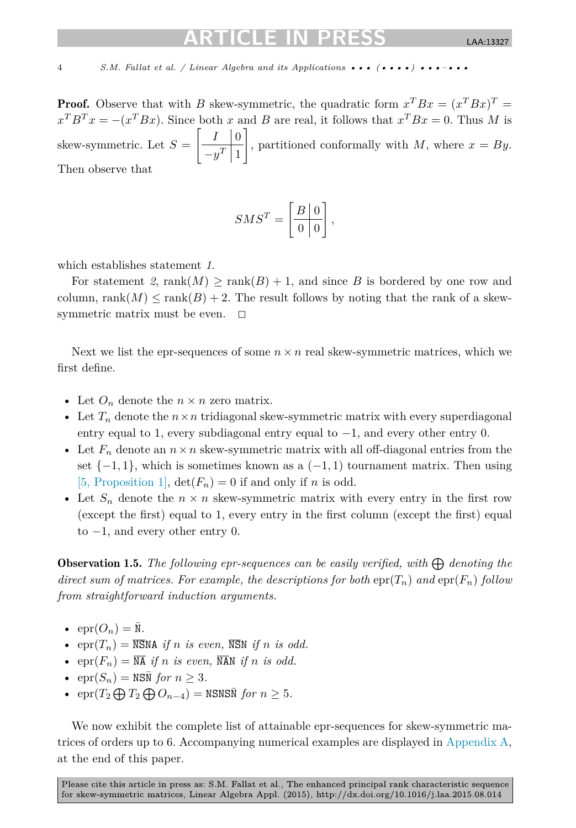## IEIN

4 S.M. Fallat et al. / Linear Algebra and its Applications ••• (••••) •••–•••

**Proof.** Observe that with *B* skew-symmetric, the quadratic form  $x^T B x = (x^T B x)^T =$  $x^T B^T x = -(x^T B x)$ . Since both *x* and *B* are real, it follows that  $x^T B x = 0$ . Thus *M* is skew-symmetric. Let  $S = \frac{I_0}{T_1}$  $-y^T\mid 1$  $\overline{ }$ , partitioned conformally with  $M$ , where  $x = By$ . Then observe that

$$
SMS^T = \left[\begin{array}{c|c} B & 0 \\ \hline 0 & 0 \end{array}\right],
$$

which establishes statement *1*.

For statement 2, rank $(M) \geq \text{rank}(B) + 1$ , and since B is bordered by one row and column, rank $(M)$  < rank $(B)$  + 2. The result follows by noting that the rank of a skewsymmetric matrix must be even.  $\square$ 

Next we list the epr-sequences of some  $n \times n$  real skew-symmetric matrices, which we first define.

- Let  $O_n$  denote the  $n \times n$  zero matrix.
- Let  $T_n$  denote the  $n \times n$  tridiagonal skew-symmetric matrix with every superdiagonal entry equal to 1, every subdiagonal entry equal to  $-1$ , and every other entry 0.
- Let  $F_n$  denote an  $n \times n$  skew-symmetric matrix with all off-diagonal entries from the set  $\{-1, 1\}$ , which is sometimes known as a  $(-1, 1)$  tournament matrix. Then using [5, [Proposition 1\],](#page-11-0)  $\det(F_n) = 0$  if and only if *n* is odd.
- Let  $S_n$  denote the  $n \times n$  skew-symmetric matrix with every entry in the first row (except the first) equal to 1, every entry in the first column (except the first) equal to  $-1$ , and every other entry 0.

**Observation 1.5.** The following epr-sequences can be easily verified, with  $\bigoplus$  denoting the *direct sum of matrices.* For *example,* the *descriptions* for *both*  $\text{epr}(T_n)$  *and*  $\text{epr}(F_n)$  *follow from straightforward induction arguments.*

- $\bullet$  epr $(O_n) = \overline{\mathbb{N}}$ .
- epr $(T_n) = \overline{\text{NSNA}}$  *if n is even*,  $\overline{\text{NSN}}$  *if n is odd.*
- epr $(F_n) = \overline{NA}$  *if n is even*,  $\overline{NAN}$  *if n is odd.*
- $\exp(S_n) = \text{NSN}$  *for*  $n \geq 3$ *.*
- $\operatorname{epr}(T_2 \bigoplus T_2 \bigoplus O_{n-4}) = \text{NSNSN}$  *for*  $n \geq 5$ *.*

We now exhibit the complete list of attainable epr-sequences for skew-symmetric matrices of orders up to 6. Accompanying numerical examples are displayed in [Appendix A,](#page-10-0) at the end of this paper.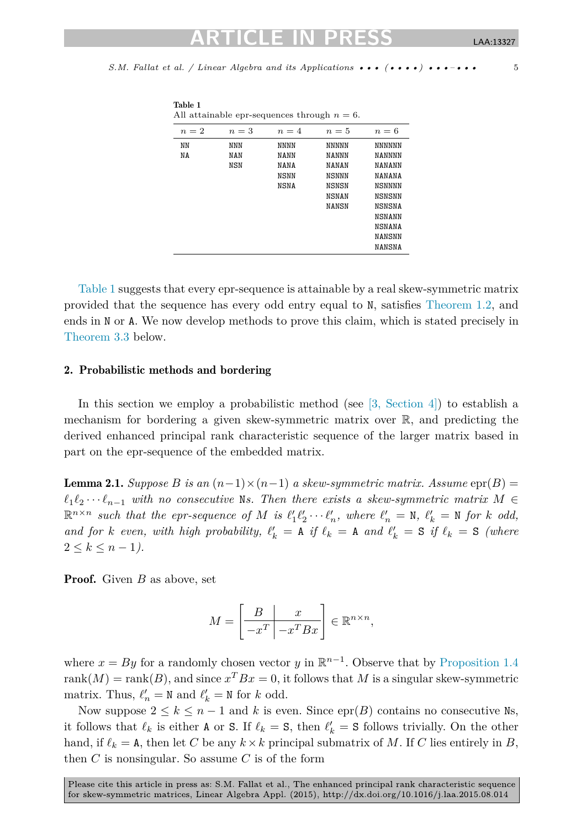<span id="page-4-0"></span>*S.M. Fal lat et al. / Linear Algebra and its Applications ••• (••••) •••–•••* 5

1 I S 1 I

| All attainable epr-sequences through $n = 6$ . |            |             |              |               |
|------------------------------------------------|------------|-------------|--------------|---------------|
| $n=2$                                          | $n=3$      | $n=4$       | $n=5$        | $n=6$         |
| NN                                             | NNN        | NNNN        | <b>NNNNN</b> | <b>NNNNNN</b> |
| NΑ                                             | NAN        | NANN        | NANNN        | NANNNN        |
|                                                | <b>NSN</b> | NANA        | <b>NANAN</b> | NANANN        |
|                                                |            | NSNN        | NSNNN        | NANANA        |
|                                                |            | <b>NSNA</b> | NSNSN        | NSNNNN        |
|                                                |            |             | NSNAN        | NSNSNN        |
|                                                |            |             | <b>NANSN</b> | NSNSNA        |
|                                                |            |             |              | NSNANN        |
|                                                |            |             |              | <b>NSNANA</b> |
|                                                |            |             |              | NANSNN        |
|                                                |            |             |              | NANSNA        |

Table 1 suggests that every epr-sequence is attainable by a real skew-symmetric matrix provided that the sequence has every odd entry equal to N, satisfies [Theorem 1.2,](#page-2-0) and ends in N or A. We now develop methods to prove this claim, which is stated precisely in [Theorem 3.3](#page-8-0) below.

#### 2. Probabilistic methods and bordering

Table 1

In this section we employ a probabilistic method (see  $[3, \text{ Section 4}]$ ) to establish a mechanism for bordering a given skew-symmetric matrix over R, and predicting the derived enhanced principal rank characteristic sequence of the larger matrix based in part on the epr-sequence of the embedded matrix.

**Lemma 2.1.** *Suppose B is an*  $(n-1) \times (n-1)$  *a skew-symmetric matrix. Assume*  $epr(B)$  =  $\ell_1 \ell_2 \cdots \ell_{n-1}$  *with no consecutive* Ns. Then there exists a skew-symmetric matrix  $M \in$  $\mathbb{R}^{n \times n}$  such that the epr-sequence of M is  $\ell'_1 \ell'_2 \cdots \ell'_n$ , where  $\ell'_n = \mathbb{N}$ ,  $\ell'_k = \mathbb{N}$  for k odd, and for k even, with high probability,  $\ell'_k = A$  if  $\ell_k = A$  and  $\ell'_k = S$  if  $\ell_k = S$  (where  $2 \leq k \leq n-1$ .

Proof. Given *B* as above, set

$$
M = \left[\begin{array}{c|c} B & x \\ \hline -x^T & -x^T Bx \end{array}\right] \in \mathbb{R}^{n \times n},
$$

where  $x = By$  for a randomly chosen vector *y* in  $\mathbb{R}^{n-1}$ . Observe that by [Proposition 1.4](#page-2-0) rank $(M)$  = rank $(B)$ , and since  $x^T B x = 0$ , it follows that *M* is a singular skew-symmetric matrix. Thus,  $\ell'_n = N$  and  $\ell'_k = N$  for *k* odd.

Now suppose  $2 \leq k \leq n-1$  and k is even. Since epr(B) contains no consecutive Ns, it follows that  $\ell_k$  is either **A** or **S**. If  $\ell_k = S$ , then  $\ell'_k = S$  follows trivially. On the other hand, if  $\ell_k = \texttt{A}$ , then let *C* be any  $k \times k$  principal submatrix of *M*. If *C* lies entirely in *B*, then  $C$  is nonsingular. So assume  $C$  is of the form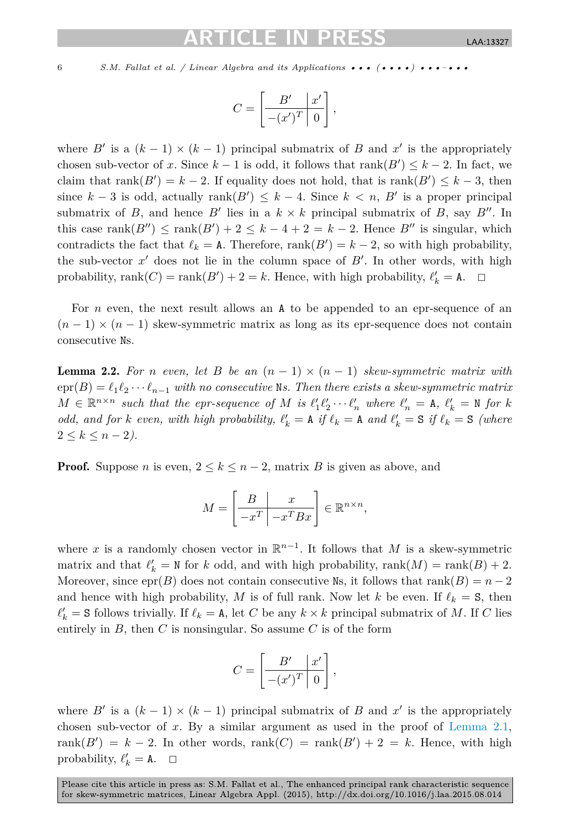## TEIN

<span id="page-5-0"></span>6 S.M. Fallat et al. / Linear Algebra and its Applications ••• (••••) •••-•••

$$
C = \left[\begin{array}{c|c} B' & x' \\ \hline -(x')^T & 0 \end{array}\right],
$$

where  $B'$  is a  $(k-1) \times (k-1)$  principal submatrix of  $B$  and  $x'$  is the appropriately chosen sub-vector of *x*. Since  $k-1$  is odd, it follows that  $rank(B') \leq k-2$ . In fact, we claim that  $rank(B') = k - 2$ . If equality does not hold, that is  $rank(B') \leq k - 3$ , then since  $k-3$  is odd, actually  $rank(B') \leq k-4$ . Since  $k < n, B'$  is a proper principal submatrix of *B*, and hence *B*<sup> $\prime$ </sup> lies in a  $k \times k$  principal submatrix of *B*, say *B*<sup> $\prime\prime$ </sup>. In this case rank $(B'') \leq \text{rank}(B') + 2 \leq k - 4 + 2 = k - 2$ . Hence *B*<sup> $\prime\prime$ </sup> is singular, which contradicts the fact that  $\ell_k = A$ . Therefore,  $\text{rank}(B') = k - 2$ , so with high probability, the sub-vector  $x'$  does not lie in the column space of  $B'$ . In other words, with high probability, rank $(C)$  = rank $(B')$  + 2 = k. Hence, with high probability,  $\ell'_{k}$  = A.  $\Box$ 

For *n* even, the next result allows an **A** to be appended to an epr-sequence of an  $(n-1) \times (n-1)$  skew-symmetric matrix as long as its epr-sequence does not contain consecutive Ns.

**Lemma 2.2.** For *n* even, let *B* be an  $(n - 1) \times (n - 1)$  skew-symmetric matrix with  $\text{erf}(B) = \ell_1 \ell_2 \cdots \ell_{n-1}$  with no consecutive Ns. Then there exists a skew-symmetric matrix  $M \in \mathbb{R}^{n \times n}$  such that the epr-sequence of M is  $\ell'_1 \ell'_2 \cdots \ell'_n$  where  $\ell'_n = A$ ,  $\ell'_k = N$  for k odd, and for k even, with high probability,  $\ell'_k = A$  if  $\ell_k = A$  and  $\ell'_k = S$  if  $\ell_k = S$  (where  $2 \leq k \leq n-2$ ).

**Proof.** Suppose *n* is even,  $2 \leq k \leq n-2$ , matrix *B* is given as above, and

$$
M = \left[\begin{array}{c|c} B & x \\ \hline -x^T & -x^T Bx \end{array}\right] \in \mathbb{R}^{n \times n},
$$

where x is a randomly chosen vector in  $\mathbb{R}^{n-1}$ . It follows that M is a skew-symmetric matrix and that  $\ell'_{k} = \mathbb{N}$  for *k* odd, and with high probability, rank $(M) = \text{rank}(B) + 2$ . Moreover, since  $epr(B)$  does not contain consecutive Ns, it follows that rank $(B) = n - 2$ and hence with high probability, *M* is of full rank. Now let *k* be even. If  $\ell_k = S$ , then  $\ell'_{k}$  = S follows trivially. If  $\ell_{k}$  = A, let *C* be any  $k \times k$  principal submatrix of *M*. If *C* lies entirely in  $B$ , then  $C$  is nonsingular. So assume  $C$  is of the form

$$
C = \left[ \begin{array}{c|c} B' & x' \\ \hline -(x')^T & 0 \end{array} \right],
$$

where  $B'$  is a  $(k-1) \times (k-1)$  principal submatrix of *B* and  $x'$  is the appropriately chosen sub-vector of *x*. By a similar argument as used in the proof of [Lemma 2.1,](#page-4-0)  $rank(B') = k - 2$ . In other words,  $rank(C) = rank(B') + 2 = k$ . Hence, with high probability,  $\ell'_{k} = A$ .  $\Box$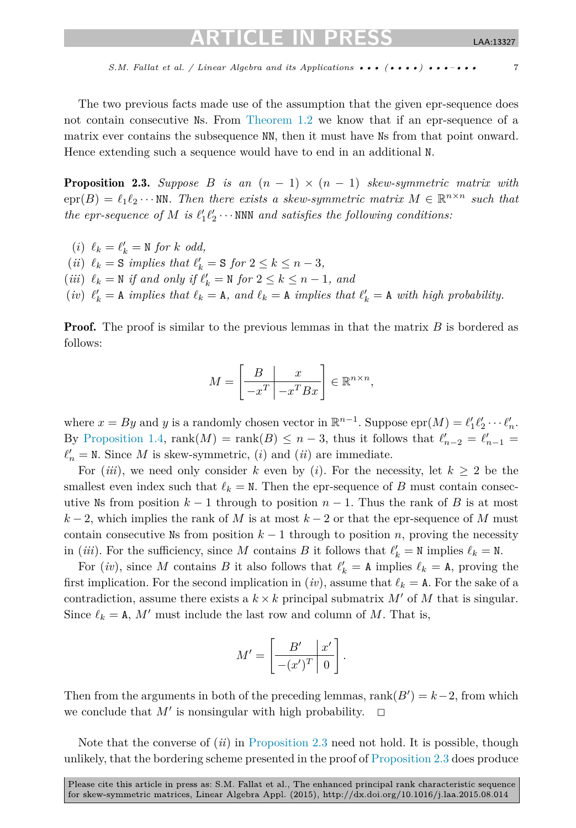<span id="page-6-0"></span>The two previous facts made use of the assumption that the given epr-sequence does not contain consecutive Ns. From [Theorem 1.2](#page-2-0) we know that if an epr-sequence of a matrix ever contains the subsequence NN, then it must have Ns from that point onward. Hence extending such a sequence would have to end in an additional N.

**Proposition 2.3.** Suppose *B* is an  $(n - 1) \times (n - 1)$  skew-symmetric matrix with  $\text{erf}(B) = \ell_1 \ell_2 \cdots \text{NN}$ . Then there exists a skew-symmetric matrix  $M \in \mathbb{R}^{n \times n}$  such that  $the$  *epr-sequence of*  $M$  *is*  $\ell'_1 \ell'_2 \cdots$  NNN *and satisfies the following conditions:* 

- $(i) \ell_k = \ell'_k = \mathbb{N}$  for *k odd*,
- $(iii)$   $\ell_k = S$  *implies that*  $\ell'_k = S$  *for*  $2 \leq k \leq n-3$ *,*
- $(iii)$   $\ell_k = N$  *if and only if*  $\ell'_k = N$  *for*  $2 \leq k \leq n-1$ *, and*
- (*iv*)  $\ell'_k = A$  *implies that*  $\ell_k = A$ *, and*  $\ell_k = A$  *implies that*  $\ell'_k = A$  *with high probability.*

**Proof.** The proof is similar to the previous lemmas in that the matrix *B* is bordered as follows:

$$
M = \left[\begin{array}{c|c} B & x \\ \hline -x^T & -x^T B x \end{array}\right] \in \mathbb{R}^{n \times n},
$$

where  $x = By$  and *y* is a randomly chosen vector in  $\mathbb{R}^{n-1}$ . Suppose  $\text{epr}(M) = \ell'_1 \ell'_2 \cdots \ell'_n$ . By [Proposition 1.4,](#page-2-0)  $rank(M) = rank(B) \leq n-3$ , thus it follows that  $\ell'_{n-2} = \ell'_{n-1} =$  $\ell'_n = N$ . Since *M* is skew-symmetric, *(i)* and *(ii)* are immediate.

For (*iii*), we need only consider k even by (*i*). For the necessity, let  $k \geq 2$  be the smallest even index such that  $\ell_k = N$ . Then the epr-sequence of *B* must contain consecutive Ns from position  $k-1$  through to position  $n-1$ . Thus the rank of *B* is at most  $k-2$ , which implies the rank of *M* is at most  $k-2$  or that the epr-sequence of *M* must contain consecutive Ns from position  $k-1$  through to position *n*, proving the necessity in (*iii*). For the sufficiency, since M contains B it follows that  $\ell'_k = N$  implies  $\ell_k = N$ .

For  $(iv)$ , since M contains B it also follows that  $\ell'_{k} = A$  implies  $\ell_{k} = A$ , proving the first implication. For the second implication in  $(iv)$ , assume that  $\ell_k = A$ . For the sake of a contradiction, assume there exists a  $k \times k$  principal submatrix  $M'$  of  $M$  that is singular. Since  $\ell_k = A$ , M' must include the last row and column of M. That is,

$$
M' = \left[\begin{array}{c|c} B' & x' \\ \hline -(x')^T & 0 \end{array}\right].
$$

Then from the arguments in both of the preceding lemmas,  $rank(B') = k-2$ , from which we conclude that  $M'$  is nonsingular with high probability.  $\Box$ 

Note that the converse of (*ii*) in Proposition 2.3 need not hold. It is possible, though unlikely, that the bordering scheme presented in the proof of Proposition 2.3 does produce

Please cite this article in press as: S.M. Fallat et al., The enhanced principal rank characteristic sequence for skew-symmetric matrices, Linear Algebra Appl. (2015), http://dx.doi.org/10.1016/j.laa.2015.08.014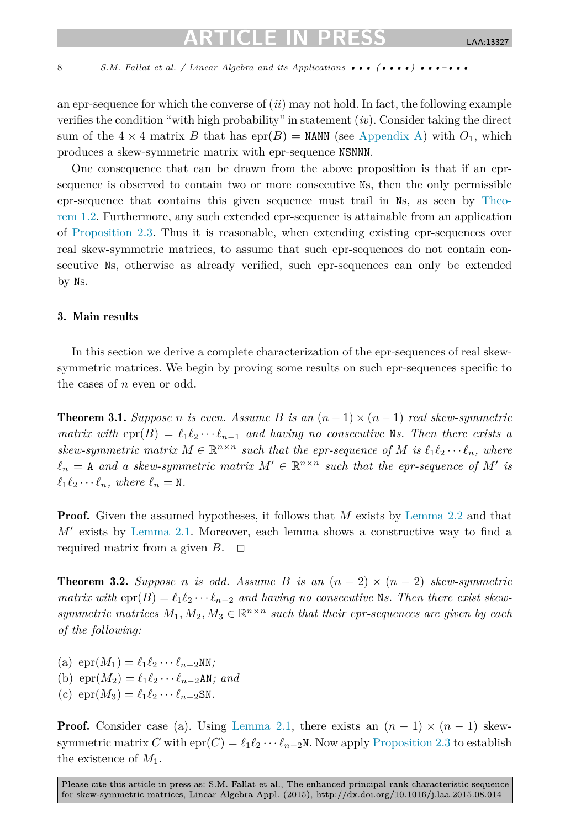<span id="page-7-0"></span>8 S.M. Fallat et al. / Linear Algebra and its Applications  $\cdots$  ( $\cdots$ )  $\cdots$ - $\cdots$ 

an epr-sequence for which the converse of (*ii*) may not hold. In fact, the following example verifies the condition "with high probability" in statement (*iv*). Consider taking the direct sum of the  $4 \times 4$  matrix *B* that has  $epr(B) =$  NANN (see [Appendix A\)](#page-10-0) with  $O_1$ , which produces a skew-symmetric matrix with epr-sequence NSNNN.

One consequence that can be drawn from the above proposition is that if an eprsequence is observed to contain two or more consecutive Ns, then the only permissible epr-sequence that contains this given sequence must trail in Ns, as seen by [Theo](#page-2-0)[rem 1.2.](#page-2-0) Furthermore, any such extended epr-sequence is attainable from an application of [Proposition 2.3.](#page-6-0) Thus it is reasonable, when extending existing epr-sequences over real skew-symmetric matrices, to assume that such epr-sequences do not contain consecutive Ns, otherwise as already verified, such epr-sequences can only be extended by Ns.

### 3. Main results

In this section we derive a complete characterization of the epr-sequences of real skewsymmetric matrices. We begin by proving some results on such epr-sequences specific to the cases of *n* even or odd.

**Theorem 3.1.** *Suppose n* is even. Assume B is an  $(n-1) \times (n-1)$  real skew-symmetric *matrix* with  $epr(B) = \ell_1 \ell_2 \cdots \ell_{n-1}$  and *having no consecutive* N*s. Then there exists a skew-symmetric matrix*  $M \in \mathbb{R}^{n \times n}$  *such that the epr-sequence of*  $M$  *is*  $\ell_1 \ell_2 \cdots \ell_n$ *, where*  $\ell_n = A$  *and a skew-symmetric matrix*  $M' \in \mathbb{R}^{n \times n}$  *such that the epr-sequence of*  $M'$  *is*  $\ell_1 \ell_2 \cdots \ell_n$ , where  $\ell_n = N$ .

**Proof.** Given the assumed hypotheses, it follows that *M* exists by [Lemma 2.2](#page-5-0) and that *M*- exists by [Lemma 2.1.](#page-4-0) Moreover, each lemma shows a constructive way to find a required matrix from a given  $B$ .  $\Box$ 

**Theorem 3.2.** Suppose *n* is odd. Assume *B* is an  $(n-2) \times (n-2)$  skew-symmetric  $matrix\ with\ epr(B) = \ell_1 \ell_2 \cdots \ell_{n-2}$  and *having* no *consecutive* Ns. Then there exist skew*symmetric* matrices  $M_1, M_2, M_3 \in \mathbb{R}^{n \times n}$  *such that their epr-sequences* are *given by each of the following:*

- (a)  $\text{epr}(M_1) = \ell_1 \ell_2 \cdots \ell_{n-2} \text{NN};$
- (b)  $\text{epr}(M_2) = \ell_1 \ell_2 \cdots \ell_{n-2} \text{AN};$  and
- (c)  $\text{epr}(M_3) = \ell_1 \ell_2 \cdots \ell_{n-2} \text{SN}.$

**Proof.** Consider case (a). Using [Lemma 2.1,](#page-4-0) there exists an  $(n-1) \times (n-1)$  skewsymmetric matrix *C* with  $\text{epr}(C) = \ell_1 \ell_2 \cdots \ell_{n-2} \mathbb{N}$ . Now apply [Proposition 2.3](#page-6-0) to establish the existence of *M*1.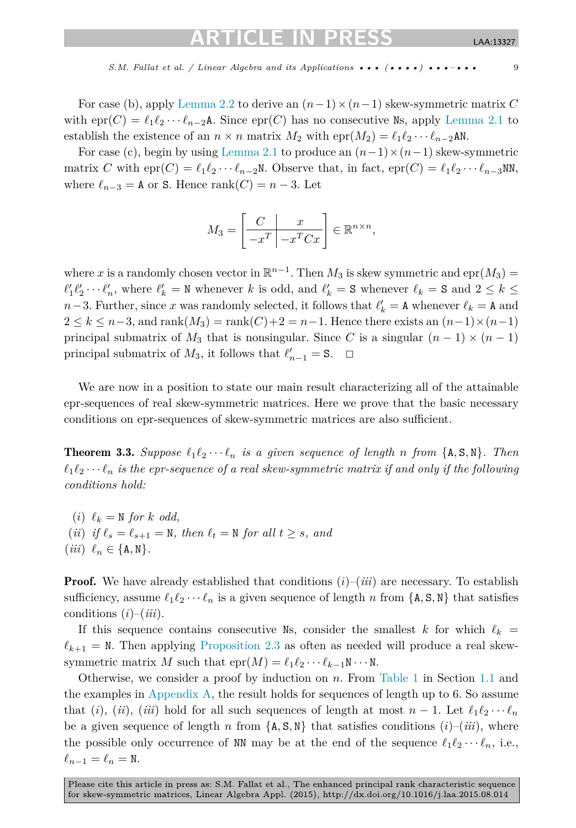## CI E IN

*S.M. Fallat et al. / Linear Algebra and its Applications* ••• (••••) •••–••• 9

<span id="page-8-0"></span>For case (b), apply [Lemma 2.2](#page-5-0) to derive an  $(n-1)\times(n-1)$  skew-symmetric matrix C with  $\text{epr}(C) = \ell_1 \ell_2 \cdots \ell_{n-2}$ A. Since  $\text{epr}(C)$  has no consecutive Ns, apply [Lemma 2.1](#page-4-0) to establish the existence of an  $n \times n$  matrix  $M_2$  with  $\text{epr}(M_2) = \ell_1 \ell_2 \cdots \ell_{n-2}$ AN.

For case (c), begin by using [Lemma 2.1](#page-4-0) to produce an  $(n-1)\times(n-1)$  skew-symmetric matrix *C* with  $epr(C) = \ell_1 \ell_2 \cdots \ell_{n-2}$ N. Observe that, in fact,  $epr(C) = \ell_1 \ell_2 \cdots \ell_{n-3}$ NN, where  $\ell_{n-3} = A$  or S. Hence rank $(C) = n - 3$ . Let

$$
M_3 = \left[\begin{array}{c|c} C & x \\ \hline -x^T & -x^T C x \end{array}\right] \in \mathbb{R}^{n \times n},
$$

where *x* is a randomly chosen vector in  $\mathbb{R}^{n-1}$ . Then  $M_3$  is skew symmetric and epr( $M_3$ ) =  $\ell'_1 \ell'_2 \cdots \ell'_n$ , where  $\ell'_k = \mathbb{N}$  whenever *k* is odd, and  $\ell'_k = S$  whenever  $\ell_k = S$  and  $2 \leq k \leq$ *n*−3. Further, since *x* was randomly selected, it follows that  $\ell'_{k} = \mathbf{A}$  whenever  $\ell_{k} = \mathbf{A}$  and  $2 \leq k \leq n-3$ , and rank $(M_3) =$ rank $(C)+2 = n-1$ . Hence there exists an  $(n-1)\times(n-1)$ principal submatrix of  $M_3$  that is nonsingular. Since *C* is a singular  $(n - 1) \times (n - 1)$ principal submatrix of  $M_3$ , it follows that  $\ell'_{n-1} = S$ .  $\Box$ 

We are now in a position to state our main result characterizing all of the attainable epr-sequences of real skew-symmetric matrices. Here we prove that the basic necessary conditions on epr-sequences of skew-symmetric matrices are also sufficient.

**Theorem 3.3.** Suppose  $\ell_1 \ell_2 \cdots \ell_n$  is a given sequence of length *n* from  $\{A, S, N\}$ . Then  $\ell_1 \ell_2 \cdots \ell_n$  *is the epr-sequence of a real skew-symmetric matrix if and only if the following conditions hold:*

 $(i) \ell_k = \mathbb{N}$  *for k odd,*  $(iii)$  *if*  $\ell_s = \ell_{s+1} = \mathbb{N}$ *, then*  $\ell_t = \mathbb{N}$  *for all*  $t \geq s$ *, and*  $(iii) \ell_n \in \{A, N\}.$ 

**Proof.** We have already established that conditions  $(i)$ – $(iii)$  are necessary. To establish sufficiency, assume  $\ell_1 \ell_2 \cdots \ell_n$  is a given sequence of length *n* from  $\{A, S, N\}$  that satisfies conditions (*i*)–(*iii*).

If this sequence contains consecutive Ns, consider the smallest *k* for which  $\ell_k$  =  $\ell_{k+1} = N$ . Then applying [Proposition 2.3](#page-6-0) as often as needed will produce a real skewsymmetric matrix *M* such that  $\text{epr}(M) = \ell_1 \ell_2 \cdots \ell_{k-1} \mathbb{N} \cdots \mathbb{N}$ .

Otherwise, we consider a proof by induction on *n*. From [Table 1](#page-4-0) in Section [1.1](#page-1-0) and the examples in [Appendix A,](#page-10-0) the result holds for sequences of length up to 6. So assume that (*i*), (*ii*), (*iii*) hold for all such sequences of length at most  $n - 1$ . Let  $\ell_1 \ell_2 \cdots \ell_n$ be a given sequence of length *n* from  $\{A, S, N\}$  that satisfies conditions  $(i)$ – $(iii)$ , where the possible only occurrence of NN may be at the end of the sequence  $\ell_1 \ell_2 \cdots \ell_n$ , i.e.,  $\ell_{n-1} = \ell_n = N.$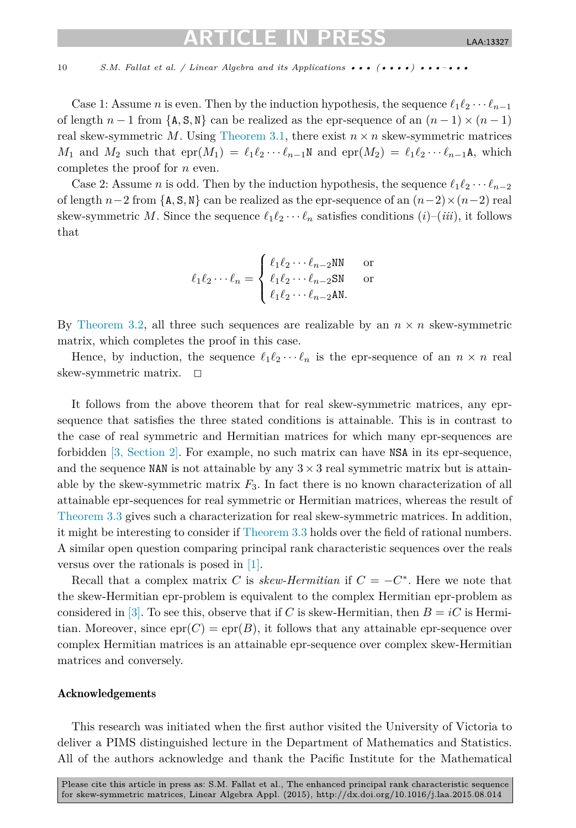## TICLE IN PI

#### 10 *S.M. Fallat et al. / Linear Algebra and its Applications* ••• (•••••) •••–•••

Case 1: Assume *n* is even. Then by the induction hypothesis, the sequence  $\ell_1 \ell_2 \cdots \ell_{n-1}$ of length  $n-1$  from  $\{A, S, N\}$  can be realized as the epr-sequence of an  $(n-1) \times (n-1)$ real skew-symmetric  $M$ . Using [Theorem 3.1,](#page-7-0) there exist  $n \times n$  skew-symmetric matrices *M*<sub>1</sub> and *M*<sub>2</sub> such that  $\text{epr}(M_1) = \ell_1 \ell_2 \cdots \ell_{n-1} \mathbb{N}$  and  $\text{epr}(M_2) = \ell_1 \ell_2 \cdots \ell_{n-1} \mathbb{A}$ , which completes the proof for *n* even.

Case 2: Assume *n* is odd. Then by the induction hypothesis, the sequence  $\ell_1 \ell_2 \cdots \ell_{n-2}$ of length  $n-2$  from {A, S, N} can be realized as the epr-sequence of an  $(n-2) \times (n-2)$  real skew-symmetric *M*. Since the sequence  $\ell_1 \ell_2 \cdots \ell_n$  satisfies conditions  $(i)$ – $(iii)$ , it follows that

$$
\ell_1 \ell_2 \cdots \ell_n = \begin{cases} \ell_1 \ell_2 \cdots \ell_{n-2} \text{NN} & \text{or} \\ \ell_1 \ell_2 \cdots \ell_{n-2} \text{SN} & \text{or} \\ \ell_1 \ell_2 \cdots \ell_{n-2} \text{AN}. \end{cases}
$$

By [Theorem 3.2,](#page-7-0) all three such sequences are realizable by an  $n \times n$  skew-symmetric matrix, which completes the proof in this case.

Hence, by induction, the sequence  $\ell_1 \ell_2 \cdots \ell_n$  is the epr-sequence of an  $n \times n$  real skew-symmetric matrix.  $\square$ 

It follows from the above theorem that for real skew-symmetric matrices, any eprsequence that satisfies the three stated conditions is attainable. This is in contrast to the case of real symmetric and Hermitian matrices for which many epr-sequences are forbidden [3, [Section 2\].](#page-11-0) For example, no such matrix can have NSA in its epr-sequence, and the sequence NAN is not attainable by any  $3 \times 3$  real symmetric matrix but is attainable by the skew-symmetric matrix  $F_3$ . In fact there is no known characterization of all attainable epr-sequences for real symmetric or Hermitian matrices, whereas the result of [Theorem 3.3](#page-8-0) gives such a characterization for real skew-symmetric matrices. In addition, it might be interesting to consider if [Theorem 3.3](#page-8-0) holds over the field of rational numbers. A similar open question comparing principal rank characteristic sequences over the reals versus over the rationals is posed in [\[1\].](#page-11-0)

Recall that a complex matrix *C* is *skew-Hermitian* if  $C = -C^*$ . Here we note that the skew-Hermitian epr-problem is equivalent to the complex Hermitian epr-problem as considered in [\[3\].](#page-11-0) To see this, observe that if *C* is skew-Hermitian, then  $B = iC$  is Hermitian. Moreover, since  $epr(C) = epr(B)$ , it follows that any attainable epr-sequence over complex Hermitian matrices is an attainable epr-sequence over complex skew-Hermitian matrices and conversely.

#### Acknowledgements

This research was initiated when the first author visited the University of Victoria to deliver a PIMS distinguished lecture in the Department of Mathematics and Statistics. All of the authors acknowledge and thank the Pacific Institute for the Mathematical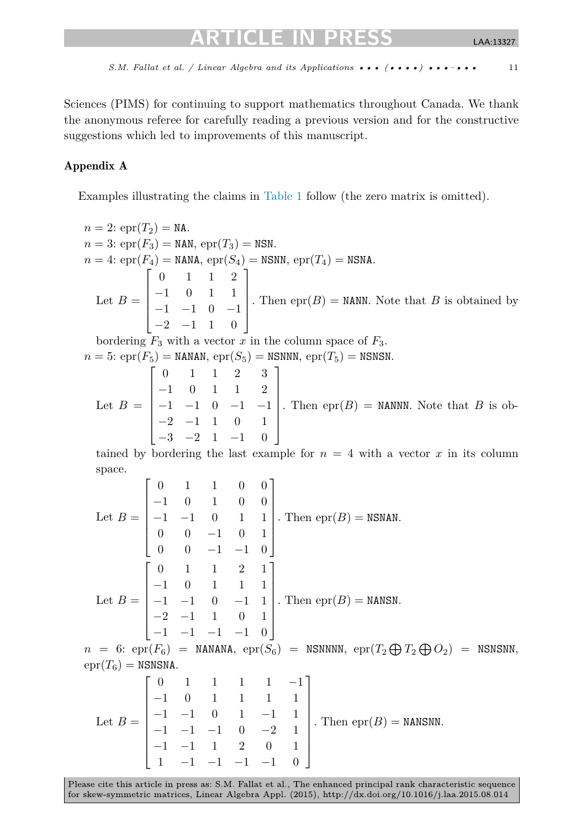<span id="page-10-0"></span>Sciences (PIMS) for continuing to support mathematics throughout Canada. We thank the anonymous referee for carefully reading a previous version and for the constructive suggestions which led to improvements of this manuscript.

## Appendix A

Examples illustrating the claims in [Table 1](#page-4-0) follow (the zero matrix is omitted).

 $n = 2$ : epr $(T_2) = N$ A.  $n = 3$ : epr $(F_3) =$  NAN, epr $(T_3) =$  NSN.  $n = 4$ : epr $(F_4) =$  NANA, epr $(S_4) =$  NSNN, epr $(T_4) =$  NSNA. Let  $B =$  $\sqrt{ }$ ⎢ ⎢ ⎢ ⎣ 0 112 −1011 −1 −1 0 −1  $-2$   $-1$  1 0 ⎤  $\Big\}$ . Then  $epr(B)$  = NANN. Note that *B* is obtained by bordering  $F_3$  with a vector x in the column space of  $F_3$ .  $n = 5$ : epr $(F_5)$  = NANAN, epr $(S_5)$  = NSNNN, epr $(T_5)$  = NSNSN. Let  $B =$  $\lceil$  $\blacksquare$ 0 112 3  $-1$  0 1 1 2 −1 −1 0 −1 −1  $-2$   $-1$  1 0 1 −3 −2 1 −1 0 ⎤  $\blacksquare$ . Then  $epr(B)$  = NANNN. Note that *B* is ob-

tained by bordering the last example for  $n = 4$  with a vector x in its column space.

Let 
$$
B = \begin{bmatrix} 0 & 1 & 1 & 0 & 0 \\ -1 & 0 & 1 & 0 & 0 \\ -1 & -1 & 0 & 1 & 1 \\ 0 & 0 & -1 & 0 & 1 \\ 0 & 0 & -1 & -1 & 0 \end{bmatrix}
$$
. Then  $epr(B) = NSNAN$ .  
\nLet  $B = \begin{bmatrix} 0 & 1 & 1 & 2 & 1 \\ -1 & 0 & 1 & 1 & 1 \\ -1 & -1 & 0 & -1 & 1 \\ -2 & -1 & 1 & 0 & 1 \\ -1 & -1 & -1 & -1 & 0 \end{bmatrix}$ . Then  $epr(B) = NANSN$ .  
\n $n = 6$ :  $epr(F_6) = NANANA$ ,  $epr(S_6) = NSNNNN$ ,  $epr(T_2 \oplus T_2 \oplus O_2) = NSNSNN$ ,  
\n $epr(T_6) = NSNSNA$ .  
\n $\begin{bmatrix} 0 & 1 & 1 & 1 & -1 \\ 0 & 0 & 1 & 1 & -1 \\ 0 & 0 & 1 & 1 & -1 \end{bmatrix}$ 

Let 
$$
B = \begin{bmatrix} 0 & 1 & 1 & 1 & 1 & 1 \\ -1 & 0 & 1 & 1 & 1 & 1 \\ -1 & -1 & 0 & 1 & -1 & 1 \\ -1 & -1 & -1 & 0 & -2 & 1 \\ -1 & -1 & 1 & 2 & 0 & 1 \\ 1 & -1 & -1 & -1 & -1 & 0 \end{bmatrix}
$$
. Then  $epr(B) = NANSNN$ .